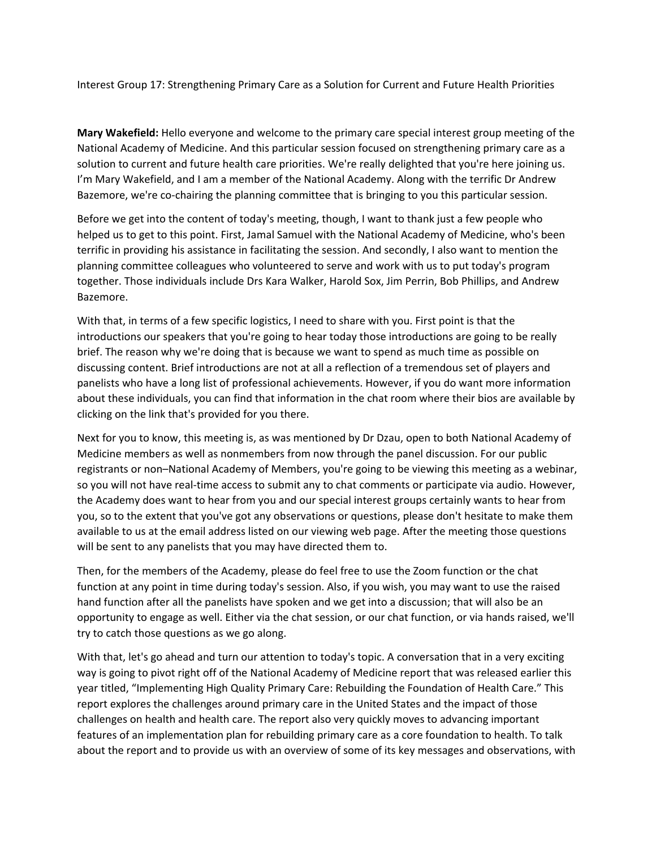Interest Group 17: Strengthening Primary Care as a Solution for Current and Future Health Priorities

**Mary Wakefield:** Hello everyone and welcome to the primary care special interest group meeting of the National Academy of Medicine. And this particular session focused on strengthening primary care as a solution to current and future health care priorities. We're really delighted that you're here joining us. I'm Mary Wakefield, and I am a member of the National Academy. Along with the terrific Dr Andrew Bazemore, we're co‐chairing the planning committee that is bringing to you this particular session.

Before we get into the content of today's meeting, though, I want to thank just a few people who helped us to get to this point. First, Jamal Samuel with the National Academy of Medicine, who's been terrific in providing his assistance in facilitating the session. And secondly, I also want to mention the planning committee colleagues who volunteered to serve and work with us to put today's program together. Those individuals include Drs Kara Walker, Harold Sox, Jim Perrin, Bob Phillips, and Andrew Bazemore.

With that, in terms of a few specific logistics, I need to share with you. First point is that the introductions our speakers that you're going to hear today those introductions are going to be really brief. The reason why we're doing that is because we want to spend as much time as possible on discussing content. Brief introductions are not at all a reflection of a tremendous set of players and panelists who have a long list of professional achievements. However, if you do want more information about these individuals, you can find that information in the chat room where their bios are available by clicking on the link that's provided for you there.

Next for you to know, this meeting is, as was mentioned by Dr Dzau, open to both National Academy of Medicine members as well as nonmembers from now through the panel discussion. For our public registrants or non–National Academy of Members, you're going to be viewing this meeting as a webinar, so you will not have real-time access to submit any to chat comments or participate via audio. However, the Academy does want to hear from you and our special interest groups certainly wants to hear from you, so to the extent that you've got any observations or questions, please don't hesitate to make them available to us at the email address listed on our viewing web page. After the meeting those questions will be sent to any panelists that you may have directed them to.

Then, for the members of the Academy, please do feel free to use the Zoom function or the chat function at any point in time during today's session. Also, if you wish, you may want to use the raised hand function after all the panelists have spoken and we get into a discussion; that will also be an opportunity to engage as well. Either via the chat session, or our chat function, or via hands raised, we'll try to catch those questions as we go along.

With that, let's go ahead and turn our attention to today's topic. A conversation that in a very exciting way is going to pivot right off of the National Academy of Medicine report that was released earlier this year titled, "Implementing High Quality Primary Care: Rebuilding the Foundation of Health Care." This report explores the challenges around primary care in the United States and the impact of those challenges on health and health care. The report also very quickly moves to advancing important features of an implementation plan for rebuilding primary care as a core foundation to health. To talk about the report and to provide us with an overview of some of its key messages and observations, with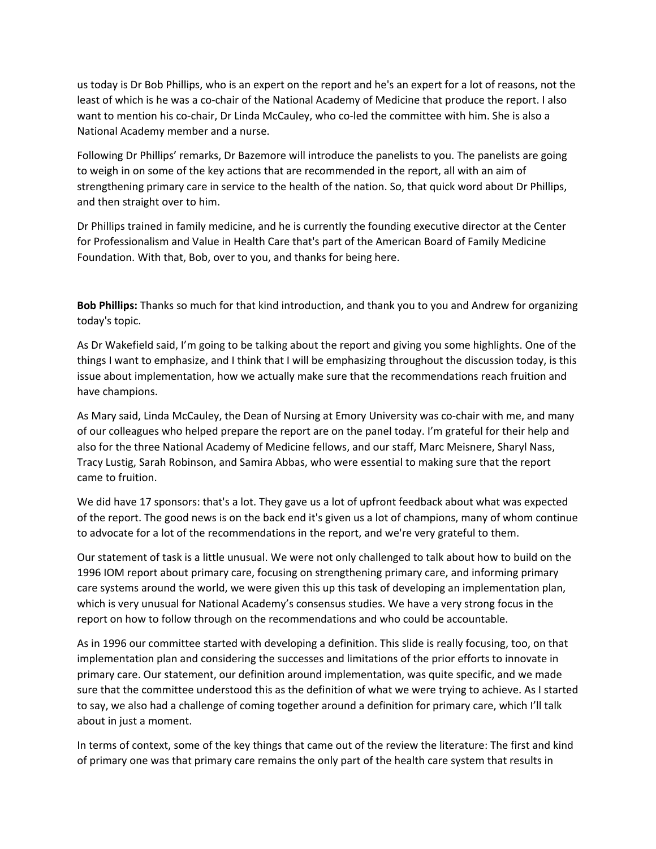us today is Dr Bob Phillips, who is an expert on the report and he's an expert for a lot of reasons, not the least of which is he was a co-chair of the National Academy of Medicine that produce the report. I also want to mention his co-chair, Dr Linda McCauley, who co-led the committee with him. She is also a National Academy member and a nurse.

Following Dr Phillips' remarks, Dr Bazemore will introduce the panelists to you. The panelists are going to weigh in on some of the key actions that are recommended in the report, all with an aim of strengthening primary care in service to the health of the nation. So, that quick word about Dr Phillips, and then straight over to him.

Dr Phillips trained in family medicine, and he is currently the founding executive director at the Center for Professionalism and Value in Health Care that's part of the American Board of Family Medicine Foundation. With that, Bob, over to you, and thanks for being here.

**Bob Phillips:** Thanks so much for that kind introduction, and thank you to you and Andrew for organizing today's topic.

As Dr Wakefield said, I'm going to be talking about the report and giving you some highlights. One of the things I want to emphasize, and I think that I will be emphasizing throughout the discussion today, is this issue about implementation, how we actually make sure that the recommendations reach fruition and have champions.

As Mary said, Linda McCauley, the Dean of Nursing at Emory University was co-chair with me, and many of our colleagues who helped prepare the report are on the panel today. I'm grateful for their help and also for the three National Academy of Medicine fellows, and our staff, Marc Meisnere, Sharyl Nass, Tracy Lustig, Sarah Robinson, and Samira Abbas, who were essential to making sure that the report came to fruition.

We did have 17 sponsors: that's a lot. They gave us a lot of upfront feedback about what was expected of the report. The good news is on the back end it's given us a lot of champions, many of whom continue to advocate for a lot of the recommendations in the report, and we're very grateful to them.

Our statement of task is a little unusual. We were not only challenged to talk about how to build on the 1996 IOM report about primary care, focusing on strengthening primary care, and informing primary care systems around the world, we were given this up this task of developing an implementation plan, which is very unusual for National Academy's consensus studies. We have a very strong focus in the report on how to follow through on the recommendations and who could be accountable.

As in 1996 our committee started with developing a definition. This slide is really focusing, too, on that implementation plan and considering the successes and limitations of the prior efforts to innovate in primary care. Our statement, our definition around implementation, was quite specific, and we made sure that the committee understood this as the definition of what we were trying to achieve. As I started to say, we also had a challenge of coming together around a definition for primary care, which I'll talk about in just a moment.

In terms of context, some of the key things that came out of the review the literature: The first and kind of primary one was that primary care remains the only part of the health care system that results in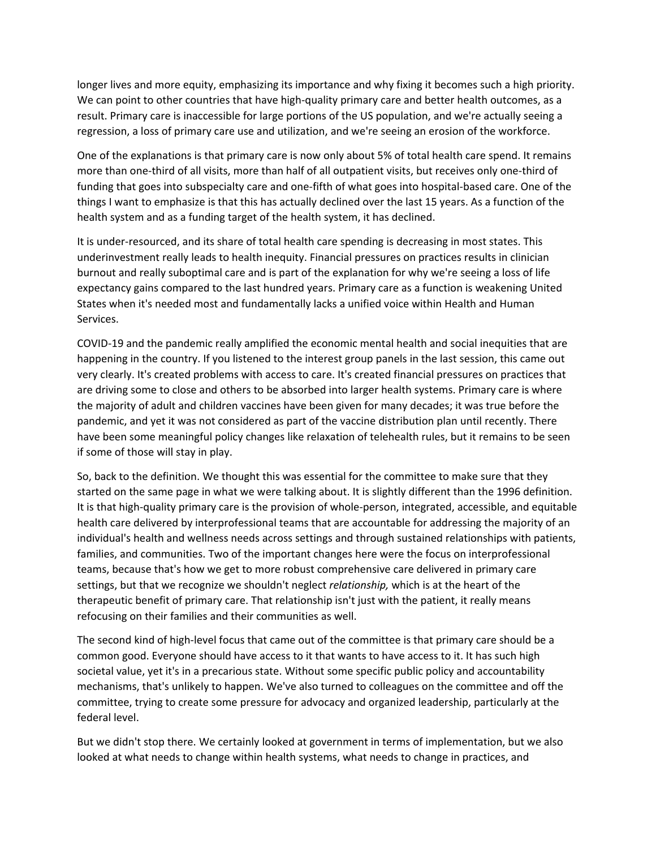longer lives and more equity, emphasizing its importance and why fixing it becomes such a high priority. We can point to other countries that have high-quality primary care and better health outcomes, as a result. Primary care is inaccessible for large portions of the US population, and we're actually seeing a regression, a loss of primary care use and utilization, and we're seeing an erosion of the workforce.

One of the explanations is that primary care is now only about 5% of total health care spend. It remains more than one-third of all visits, more than half of all outpatient visits, but receives only one-third of funding that goes into subspecialty care and one-fifth of what goes into hospital-based care. One of the things I want to emphasize is that this has actually declined over the last 15 years. As a function of the health system and as a funding target of the health system, it has declined.

It is under‐resourced, and its share of total health care spending is decreasing in most states. This underinvestment really leads to health inequity. Financial pressures on practices results in clinician burnout and really suboptimal care and is part of the explanation for why we're seeing a loss of life expectancy gains compared to the last hundred years. Primary care as a function is weakening United States when it's needed most and fundamentally lacks a unified voice within Health and Human Services.

COVID‐19 and the pandemic really amplified the economic mental health and social inequities that are happening in the country. If you listened to the interest group panels in the last session, this came out very clearly. It's created problems with access to care. It's created financial pressures on practices that are driving some to close and others to be absorbed into larger health systems. Primary care is where the majority of adult and children vaccines have been given for many decades; it was true before the pandemic, and yet it was not considered as part of the vaccine distribution plan until recently. There have been some meaningful policy changes like relaxation of telehealth rules, but it remains to be seen if some of those will stay in play.

So, back to the definition. We thought this was essential for the committee to make sure that they started on the same page in what we were talking about. It is slightly different than the 1996 definition. It is that high‐quality primary care is the provision of whole‐person, integrated, accessible, and equitable health care delivered by interprofessional teams that are accountable for addressing the majority of an individual's health and wellness needs across settings and through sustained relationships with patients, families, and communities. Two of the important changes here were the focus on interprofessional teams, because that's how we get to more robust comprehensive care delivered in primary care settings, but that we recognize we shouldn't neglect *relationship,* which is at the heart of the therapeutic benefit of primary care. That relationship isn't just with the patient, it really means refocusing on their families and their communities as well.

The second kind of high‐level focus that came out of the committee is that primary care should be a common good. Everyone should have access to it that wants to have access to it. It has such high societal value, yet it's in a precarious state. Without some specific public policy and accountability mechanisms, that's unlikely to happen. We've also turned to colleagues on the committee and off the committee, trying to create some pressure for advocacy and organized leadership, particularly at the federal level.

But we didn't stop there. We certainly looked at government in terms of implementation, but we also looked at what needs to change within health systems, what needs to change in practices, and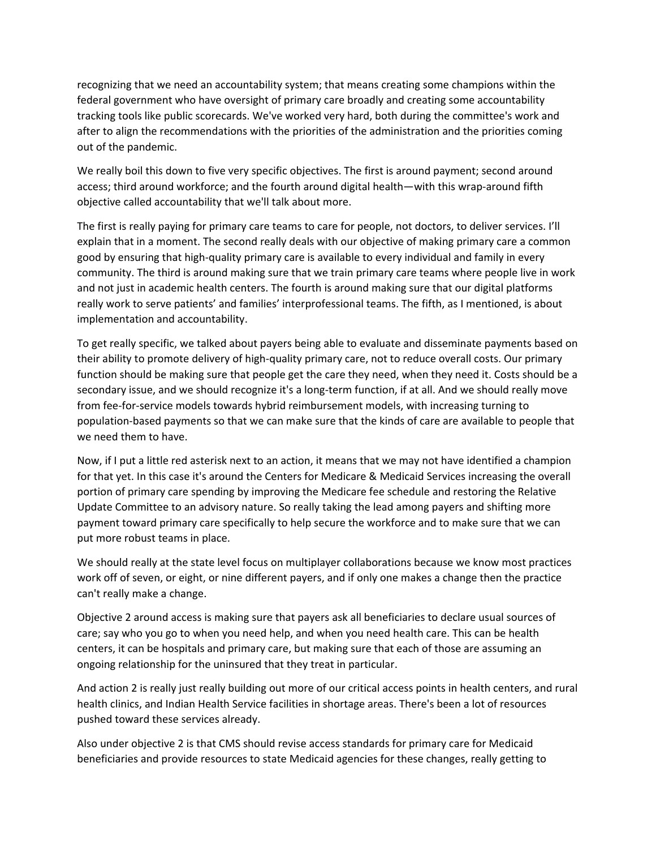recognizing that we need an accountability system; that means creating some champions within the federal government who have oversight of primary care broadly and creating some accountability tracking tools like public scorecards. We've worked very hard, both during the committee's work and after to align the recommendations with the priorities of the administration and the priorities coming out of the pandemic.

We really boil this down to five very specific objectives. The first is around payment; second around access; third around workforce; and the fourth around digital health—with this wrap‐around fifth objective called accountability that we'll talk about more.

The first is really paying for primary care teams to care for people, not doctors, to deliver services. I'll explain that in a moment. The second really deals with our objective of making primary care a common good by ensuring that high‐quality primary care is available to every individual and family in every community. The third is around making sure that we train primary care teams where people live in work and not just in academic health centers. The fourth is around making sure that our digital platforms really work to serve patients' and families' interprofessional teams. The fifth, as I mentioned, is about implementation and accountability.

To get really specific, we talked about payers being able to evaluate and disseminate payments based on their ability to promote delivery of high‐quality primary care, not to reduce overall costs. Our primary function should be making sure that people get the care they need, when they need it. Costs should be a secondary issue, and we should recognize it's a long-term function, if at all. And we should really move from fee-for-service models towards hybrid reimbursement models, with increasing turning to population‐based payments so that we can make sure that the kinds of care are available to people that we need them to have.

Now, if I put a little red asterisk next to an action, it means that we may not have identified a champion for that yet. In this case it's around the Centers for Medicare & Medicaid Services increasing the overall portion of primary care spending by improving the Medicare fee schedule and restoring the Relative Update Committee to an advisory nature. So really taking the lead among payers and shifting more payment toward primary care specifically to help secure the workforce and to make sure that we can put more robust teams in place.

We should really at the state level focus on multiplayer collaborations because we know most practices work off of seven, or eight, or nine different payers, and if only one makes a change then the practice can't really make a change.

Objective 2 around access is making sure that payers ask all beneficiaries to declare usual sources of care; say who you go to when you need help, and when you need health care. This can be health centers, it can be hospitals and primary care, but making sure that each of those are assuming an ongoing relationship for the uninsured that they treat in particular.

And action 2 is really just really building out more of our critical access points in health centers, and rural health clinics, and Indian Health Service facilities in shortage areas. There's been a lot of resources pushed toward these services already.

Also under objective 2 is that CMS should revise access standards for primary care for Medicaid beneficiaries and provide resources to state Medicaid agencies for these changes, really getting to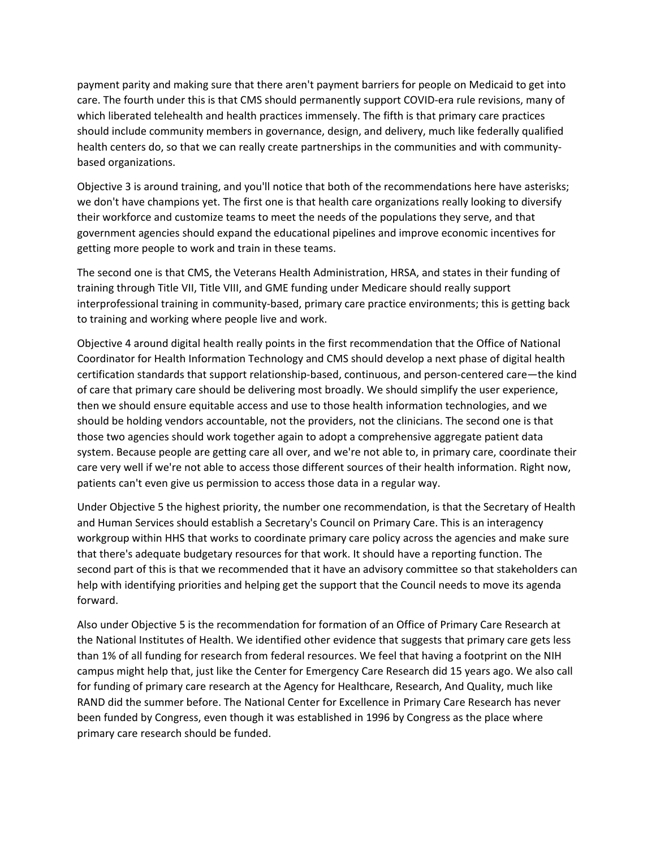payment parity and making sure that there aren't payment barriers for people on Medicaid to get into care. The fourth under this is that CMS should permanently support COVID-era rule revisions, many of which liberated telehealth and health practices immensely. The fifth is that primary care practices should include community members in governance, design, and delivery, much like federally qualified health centers do, so that we can really create partnerships in the communities and with communitybased organizations.

Objective 3 is around training, and you'll notice that both of the recommendations here have asterisks; we don't have champions yet. The first one is that health care organizations really looking to diversify their workforce and customize teams to meet the needs of the populations they serve, and that government agencies should expand the educational pipelines and improve economic incentives for getting more people to work and train in these teams.

The second one is that CMS, the Veterans Health Administration, HRSA, and states in their funding of training through Title VII, Title VIII, and GME funding under Medicare should really support interprofessional training in community‐based, primary care practice environments; this is getting back to training and working where people live and work.

Objective 4 around digital health really points in the first recommendation that the Office of National Coordinator for Health Information Technology and CMS should develop a next phase of digital health certification standards that support relationship‐based, continuous, and person‐centered care—the kind of care that primary care should be delivering most broadly. We should simplify the user experience, then we should ensure equitable access and use to those health information technologies, and we should be holding vendors accountable, not the providers, not the clinicians. The second one is that those two agencies should work together again to adopt a comprehensive aggregate patient data system. Because people are getting care all over, and we're not able to, in primary care, coordinate their care very well if we're not able to access those different sources of their health information. Right now, patients can't even give us permission to access those data in a regular way.

Under Objective 5 the highest priority, the number one recommendation, is that the Secretary of Health and Human Services should establish a Secretary's Council on Primary Care. This is an interagency workgroup within HHS that works to coordinate primary care policy across the agencies and make sure that there's adequate budgetary resources for that work. It should have a reporting function. The second part of this is that we recommended that it have an advisory committee so that stakeholders can help with identifying priorities and helping get the support that the Council needs to move its agenda forward.

Also under Objective 5 is the recommendation for formation of an Office of Primary Care Research at the National Institutes of Health. We identified other evidence that suggests that primary care gets less than 1% of all funding for research from federal resources. We feel that having a footprint on the NIH campus might help that, just like the Center for Emergency Care Research did 15 years ago. We also call for funding of primary care research at the Agency for Healthcare, Research, And Quality, much like RAND did the summer before. The National Center for Excellence in Primary Care Research has never been funded by Congress, even though it was established in 1996 by Congress as the place where primary care research should be funded.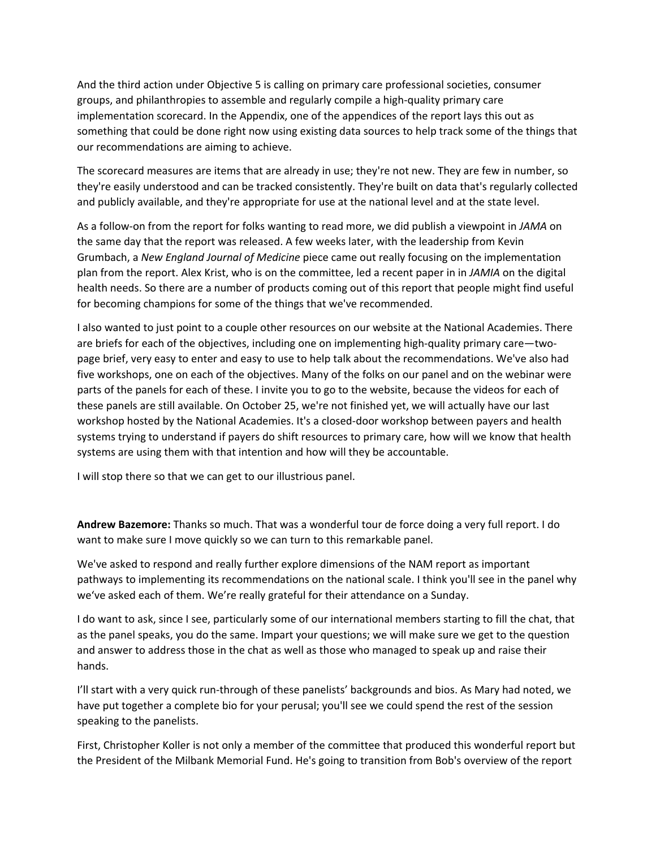And the third action under Objective 5 is calling on primary care professional societies, consumer groups, and philanthropies to assemble and regularly compile a high‐quality primary care implementation scorecard. In the Appendix, one of the appendices of the report lays this out as something that could be done right now using existing data sources to help track some of the things that our recommendations are aiming to achieve.

The scorecard measures are items that are already in use; they're not new. They are few in number, so they're easily understood and can be tracked consistently. They're built on data that's regularly collected and publicly available, and they're appropriate for use at the national level and at the state level.

As a follow‐on from the report for folks wanting to read more, we did publish a viewpoint in *JAMA* on the same day that the report was released. A few weeks later, with the leadership from Kevin Grumbach, a *New England Journal of Medicine* piece came out really focusing on the implementation plan from the report. Alex Krist, who is on the committee, led a recent paper in in *JAMIA* on the digital health needs. So there are a number of products coming out of this report that people might find useful for becoming champions for some of the things that we've recommended.

I also wanted to just point to a couple other resources on our website at the National Academies. There are briefs for each of the objectives, including one on implementing high-quality primary care—twopage brief, very easy to enter and easy to use to help talk about the recommendations. We've also had five workshops, one on each of the objectives. Many of the folks on our panel and on the webinar were parts of the panels for each of these. I invite you to go to the website, because the videos for each of these panels are still available. On October 25, we're not finished yet, we will actually have our last workshop hosted by the National Academies. It's a closed‐door workshop between payers and health systems trying to understand if payers do shift resources to primary care, how will we know that health systems are using them with that intention and how will they be accountable.

I will stop there so that we can get to our illustrious panel.

**Andrew Bazemore:** Thanks so much. That was a wonderful tour de force doing a very full report. I do want to make sure I move quickly so we can turn to this remarkable panel.

We've asked to respond and really further explore dimensions of the NAM report as important pathways to implementing its recommendations on the national scale. I think you'll see in the panel why we've asked each of them. We're really grateful for their attendance on a Sunday.

I do want to ask, since I see, particularly some of our international members starting to fill the chat, that as the panel speaks, you do the same. Impart your questions; we will make sure we get to the question and answer to address those in the chat as well as those who managed to speak up and raise their hands.

I'll start with a very quick run‐through of these panelists' backgrounds and bios. As Mary had noted, we have put together a complete bio for your perusal; you'll see we could spend the rest of the session speaking to the panelists.

First, Christopher Koller is not only a member of the committee that produced this wonderful report but the President of the Milbank Memorial Fund. He's going to transition from Bob's overview of the report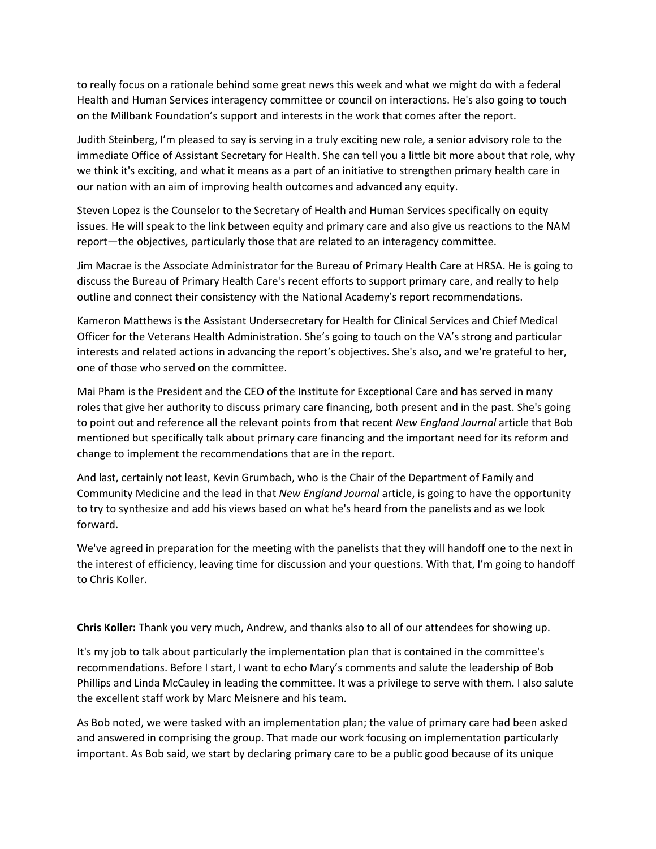to really focus on a rationale behind some great news this week and what we might do with a federal Health and Human Services interagency committee or council on interactions. He's also going to touch on the Millbank Foundation's support and interests in the work that comes after the report.

Judith Steinberg, I'm pleased to say is serving in a truly exciting new role, a senior advisory role to the immediate Office of Assistant Secretary for Health. She can tell you a little bit more about that role, why we think it's exciting, and what it means as a part of an initiative to strengthen primary health care in our nation with an aim of improving health outcomes and advanced any equity.

Steven Lopez is the Counselor to the Secretary of Health and Human Services specifically on equity issues. He will speak to the link between equity and primary care and also give us reactions to the NAM report—the objectives, particularly those that are related to an interagency committee.

Jim Macrae is the Associate Administrator for the Bureau of Primary Health Care at HRSA. He is going to discuss the Bureau of Primary Health Care's recent efforts to support primary care, and really to help outline and connect their consistency with the National Academy's report recommendations.

Kameron Matthews is the Assistant Undersecretary for Health for Clinical Services and Chief Medical Officer for the Veterans Health Administration. She's going to touch on the VA's strong and particular interests and related actions in advancing the report's objectives. She's also, and we're grateful to her, one of those who served on the committee.

Mai Pham is the President and the CEO of the Institute for Exceptional Care and has served in many roles that give her authority to discuss primary care financing, both present and in the past. She's going to point out and reference all the relevant points from that recent *New England Journal* article that Bob mentioned but specifically talk about primary care financing and the important need for its reform and change to implement the recommendations that are in the report.

And last, certainly not least, Kevin Grumbach, who is the Chair of the Department of Family and Community Medicine and the lead in that *New England Journal* article, is going to have the opportunity to try to synthesize and add his views based on what he's heard from the panelists and as we look forward.

We've agreed in preparation for the meeting with the panelists that they will handoff one to the next in the interest of efficiency, leaving time for discussion and your questions. With that, I'm going to handoff to Chris Koller.

**Chris Koller:** Thank you very much, Andrew, and thanks also to all of our attendees for showing up.

It's my job to talk about particularly the implementation plan that is contained in the committee's recommendations. Before I start, I want to echo Mary's comments and salute the leadership of Bob Phillips and Linda McCauley in leading the committee. It was a privilege to serve with them. I also salute the excellent staff work by Marc Meisnere and his team.

As Bob noted, we were tasked with an implementation plan; the value of primary care had been asked and answered in comprising the group. That made our work focusing on implementation particularly important. As Bob said, we start by declaring primary care to be a public good because of its unique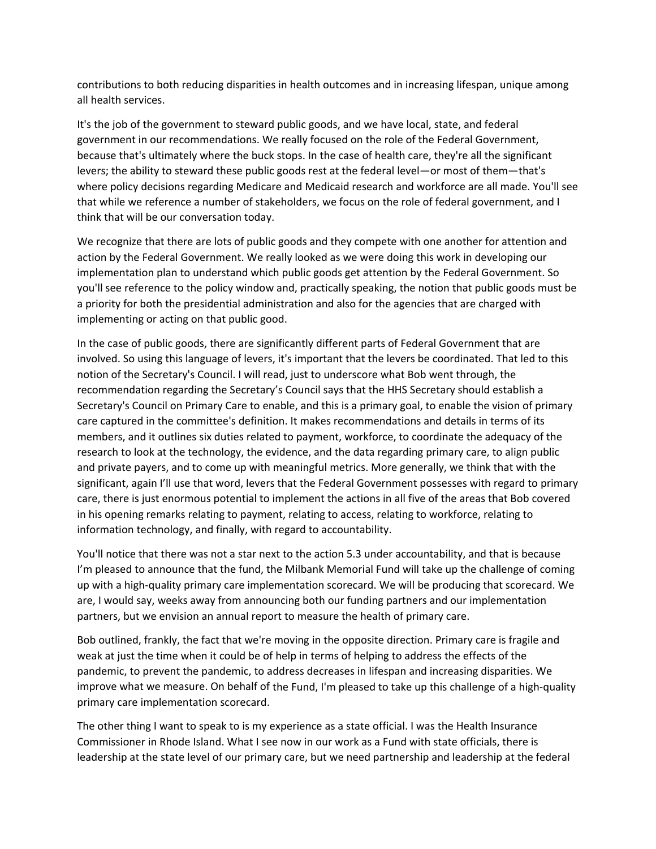contributions to both reducing disparities in health outcomes and in increasing lifespan, unique among all health services.

It's the job of the government to steward public goods, and we have local, state, and federal government in our recommendations. We really focused on the role of the Federal Government, because that's ultimately where the buck stops. In the case of health care, they're all the significant levers; the ability to steward these public goods rest at the federal level—or most of them—that's where policy decisions regarding Medicare and Medicaid research and workforce are all made. You'll see that while we reference a number of stakeholders, we focus on the role of federal government, and I think that will be our conversation today.

We recognize that there are lots of public goods and they compete with one another for attention and action by the Federal Government. We really looked as we were doing this work in developing our implementation plan to understand which public goods get attention by the Federal Government. So you'll see reference to the policy window and, practically speaking, the notion that public goods must be a priority for both the presidential administration and also for the agencies that are charged with implementing or acting on that public good.

In the case of public goods, there are significantly different parts of Federal Government that are involved. So using this language of levers, it's important that the levers be coordinated. That led to this notion of the Secretary's Council. I will read, just to underscore what Bob went through, the recommendation regarding the Secretary's Council says that the HHS Secretary should establish a Secretary's Council on Primary Care to enable, and this is a primary goal, to enable the vision of primary care captured in the committee's definition. It makes recommendations and details in terms of its members, and it outlines six duties related to payment, workforce, to coordinate the adequacy of the research to look at the technology, the evidence, and the data regarding primary care, to align public and private payers, and to come up with meaningful metrics. More generally, we think that with the significant, again I'll use that word, levers that the Federal Government possesses with regard to primary care, there is just enormous potential to implement the actions in all five of the areas that Bob covered in his opening remarks relating to payment, relating to access, relating to workforce, relating to information technology, and finally, with regard to accountability.

You'll notice that there was not a star next to the action 5.3 under accountability, and that is because I'm pleased to announce that the fund, the Milbank Memorial Fund will take up the challenge of coming up with a high‐quality primary care implementation scorecard. We will be producing that scorecard. We are, I would say, weeks away from announcing both our funding partners and our implementation partners, but we envision an annual report to measure the health of primary care.

Bob outlined, frankly, the fact that we're moving in the opposite direction. Primary care is fragile and weak at just the time when it could be of help in terms of helping to address the effects of the pandemic, to prevent the pandemic, to address decreases in lifespan and increasing disparities. We improve what we measure. On behalf of the Fund, I'm pleased to take up this challenge of a high‐quality primary care implementation scorecard.

The other thing I want to speak to is my experience as a state official. I was the Health Insurance Commissioner in Rhode Island. What I see now in our work as a Fund with state officials, there is leadership at the state level of our primary care, but we need partnership and leadership at the federal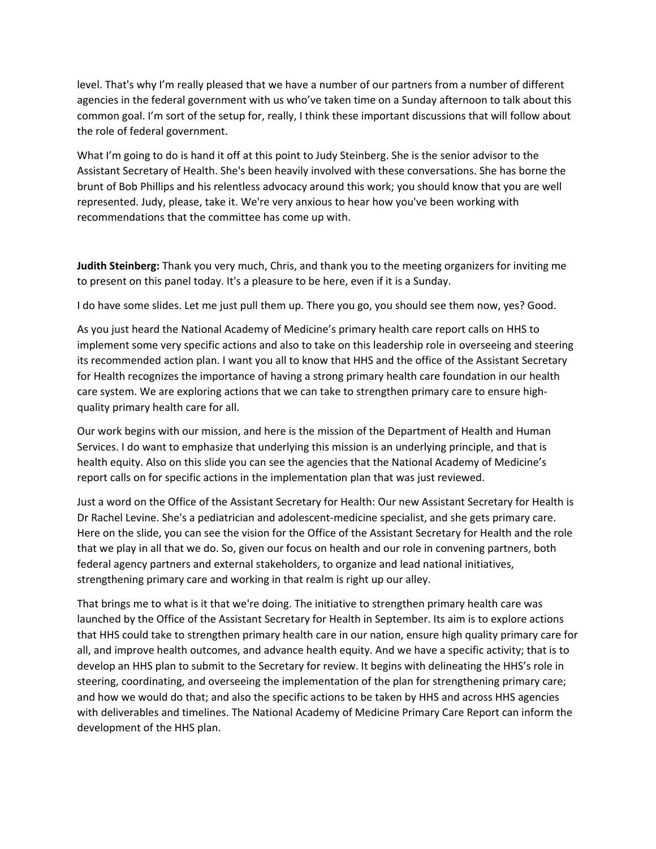level. That's why I'm really pleased that we have a number of our partners from a number of different agencies in the federal government with us who've taken time on a Sunday afternoon to talk about this common goal. I'm sort of the setup for, really, I think these important discussions that will follow about the role of federal government.

What I'm going to do is hand it off at this point to Judy Steinberg. She is the senior advisor to the Assistant Secretary of Health. She's been heavily involved with these conversations. She has borne the brunt of Bob Phillips and his relentless advocacy around this work; you should know that you are well represented. Judy, please, take it. We're very anxious to hear how you've been working with recommendations that the committee has come up with.

**Judith Steinberg:** Thank you very much, Chris, and thank you to the meeting organizers for inviting me to present on this panel today. It's a pleasure to be here, even if it is a Sunday.

I do have some slides. Let me just pull them up. There you go, you should see them now, yes? Good.

As you just heard the National Academy of Medicine's primary health care report calls on HHS to implement some very specific actions and also to take on this leadership role in overseeing and steering its recommended action plan. I want you all to know that HHS and the office of the Assistant Secretary for Health recognizes the importance of having a strong primary health care foundation in our health care system. We are exploring actions that we can take to strengthen primary care to ensure highquality primary health care for all.

Our work begins with our mission, and here is the mission of the Department of Health and Human Services. I do want to emphasize that underlying this mission is an underlying principle, and that is health equity. Also on this slide you can see the agencies that the National Academy of Medicine's report calls on for specific actions in the implementation plan that was just reviewed.

Just a word on the Office of the Assistant Secretary for Health: Our new Assistant Secretary for Health is Dr Rachel Levine. She's a pediatrician and adolescent‐medicine specialist, and she gets primary care. Here on the slide, you can see the vision for the Office of the Assistant Secretary for Health and the role that we play in all that we do. So, given our focus on health and our role in convening partners, both federal agency partners and external stakeholders, to organize and lead national initiatives, strengthening primary care and working in that realm is right up our alley.

That brings me to what is it that we're doing. The initiative to strengthen primary health care was launched by the Office of the Assistant Secretary for Health in September. Its aim is to explore actions that HHS could take to strengthen primary health care in our nation, ensure high quality primary care for all, and improve health outcomes, and advance health equity. And we have a specific activity; that is to develop an HHS plan to submit to the Secretary for review. It begins with delineating the HHS's role in steering, coordinating, and overseeing the implementation of the plan for strengthening primary care; and how we would do that; and also the specific actions to be taken by HHS and across HHS agencies with deliverables and timelines. The National Academy of Medicine Primary Care Report can inform the development of the HHS plan.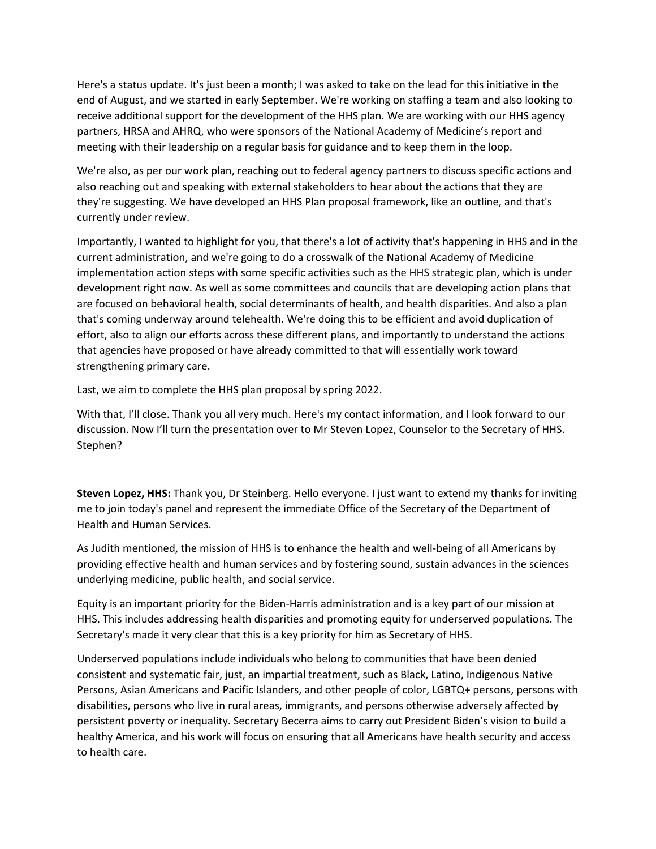Here's a status update. It's just been a month; I was asked to take on the lead for this initiative in the end of August, and we started in early September. We're working on staffing a team and also looking to receive additional support for the development of the HHS plan. We are working with our HHS agency partners, HRSA and AHRQ, who were sponsors of the National Academy of Medicine's report and meeting with their leadership on a regular basis for guidance and to keep them in the loop.

We're also, as per our work plan, reaching out to federal agency partners to discuss specific actions and also reaching out and speaking with external stakeholders to hear about the actions that they are they're suggesting. We have developed an HHS Plan proposal framework, like an outline, and that's currently under review.

Importantly, I wanted to highlight for you, that there's a lot of activity that's happening in HHS and in the current administration, and we're going to do a crosswalk of the National Academy of Medicine implementation action steps with some specific activities such as the HHS strategic plan, which is under development right now. As well as some committees and councils that are developing action plans that are focused on behavioral health, social determinants of health, and health disparities. And also a plan that's coming underway around telehealth. We're doing this to be efficient and avoid duplication of effort, also to align our efforts across these different plans, and importantly to understand the actions that agencies have proposed or have already committed to that will essentially work toward strengthening primary care.

Last, we aim to complete the HHS plan proposal by spring 2022.

With that, I'll close. Thank you all very much. Here's my contact information, and I look forward to our discussion. Now I'll turn the presentation over to Mr Steven Lopez, Counselor to the Secretary of HHS. Stephen?

**Steven Lopez, HHS:** Thank you, Dr Steinberg. Hello everyone. I just want to extend my thanks for inviting me to join today's panel and represent the immediate Office of the Secretary of the Department of Health and Human Services.

As Judith mentioned, the mission of HHS is to enhance the health and well‐being of all Americans by providing effective health and human services and by fostering sound, sustain advances in the sciences underlying medicine, public health, and social service.

Equity is an important priority for the Biden‐Harris administration and is a key part of our mission at HHS. This includes addressing health disparities and promoting equity for underserved populations. The Secretary's made it very clear that this is a key priority for him as Secretary of HHS.

Underserved populations include individuals who belong to communities that have been denied consistent and systematic fair, just, an impartial treatment, such as Black, Latino, Indigenous Native Persons, Asian Americans and Pacific Islanders, and other people of color, LGBTQ+ persons, persons with disabilities, persons who live in rural areas, immigrants, and persons otherwise adversely affected by persistent poverty or inequality. Secretary Becerra aims to carry out President Biden's vision to build a healthy America, and his work will focus on ensuring that all Americans have health security and access to health care.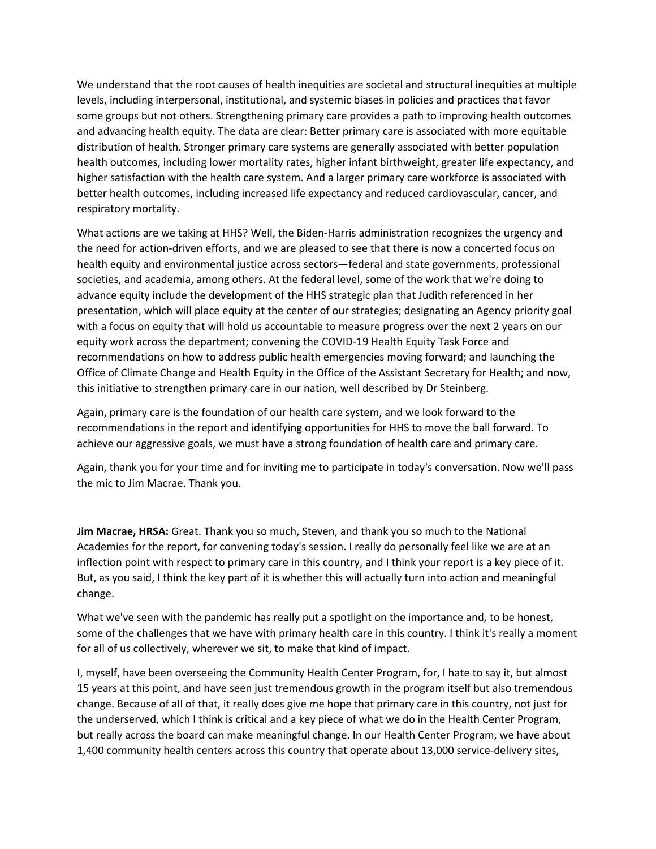We understand that the root causes of health inequities are societal and structural inequities at multiple levels, including interpersonal, institutional, and systemic biases in policies and practices that favor some groups but not others. Strengthening primary care provides a path to improving health outcomes and advancing health equity. The data are clear: Better primary care is associated with more equitable distribution of health. Stronger primary care systems are generally associated with better population health outcomes, including lower mortality rates, higher infant birthweight, greater life expectancy, and higher satisfaction with the health care system. And a larger primary care workforce is associated with better health outcomes, including increased life expectancy and reduced cardiovascular, cancer, and respiratory mortality.

What actions are we taking at HHS? Well, the Biden-Harris administration recognizes the urgency and the need for action‐driven efforts, and we are pleased to see that there is now a concerted focus on health equity and environmental justice across sectors—federal and state governments, professional societies, and academia, among others. At the federal level, some of the work that we're doing to advance equity include the development of the HHS strategic plan that Judith referenced in her presentation, which will place equity at the center of our strategies; designating an Agency priority goal with a focus on equity that will hold us accountable to measure progress over the next 2 years on our equity work across the department; convening the COVID‐19 Health Equity Task Force and recommendations on how to address public health emergencies moving forward; and launching the Office of Climate Change and Health Equity in the Office of the Assistant Secretary for Health; and now, this initiative to strengthen primary care in our nation, well described by Dr Steinberg.

Again, primary care is the foundation of our health care system, and we look forward to the recommendations in the report and identifying opportunities for HHS to move the ball forward. To achieve our aggressive goals, we must have a strong foundation of health care and primary care.

Again, thank you for your time and for inviting me to participate in today's conversation. Now we'll pass the mic to Jim Macrae. Thank you.

**Jim Macrae, HRSA:** Great. Thank you so much, Steven, and thank you so much to the National Academies for the report, for convening today's session. I really do personally feel like we are at an inflection point with respect to primary care in this country, and I think your report is a key piece of it. But, as you said, I think the key part of it is whether this will actually turn into action and meaningful change.

What we've seen with the pandemic has really put a spotlight on the importance and, to be honest, some of the challenges that we have with primary health care in this country. I think it's really a moment for all of us collectively, wherever we sit, to make that kind of impact.

I, myself, have been overseeing the Community Health Center Program, for, I hate to say it, but almost 15 years at this point, and have seen just tremendous growth in the program itself but also tremendous change. Because of all of that, it really does give me hope that primary care in this country, not just for the underserved, which I think is critical and a key piece of what we do in the Health Center Program, but really across the board can make meaningful change. In our Health Center Program, we have about 1,400 community health centers across this country that operate about 13,000 service‐delivery sites,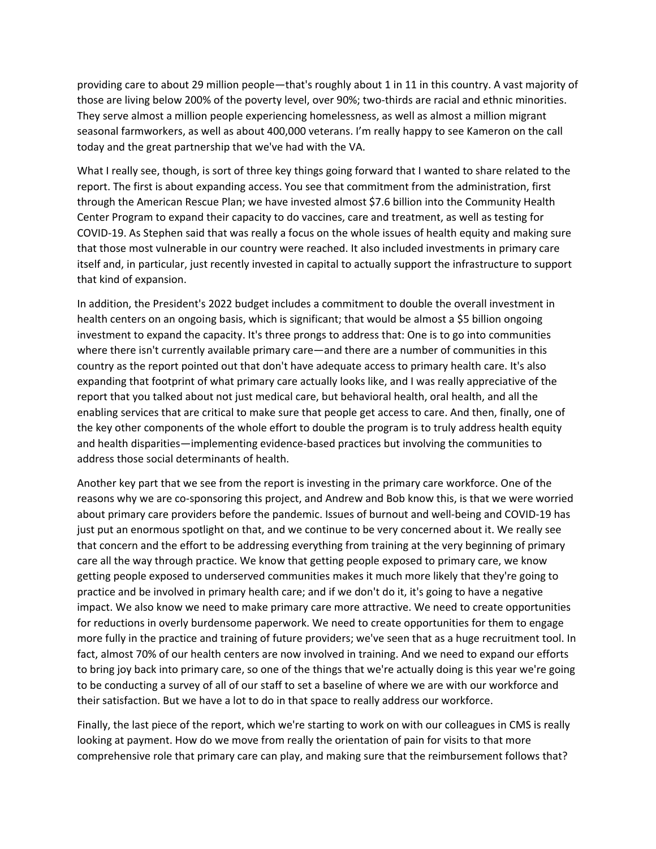providing care to about 29 million people—that's roughly about 1 in 11 in this country. A vast majority of those are living below 200% of the poverty level, over 90%; two-thirds are racial and ethnic minorities. They serve almost a million people experiencing homelessness, as well as almost a million migrant seasonal farmworkers, as well as about 400,000 veterans. I'm really happy to see Kameron on the call today and the great partnership that we've had with the VA.

What I really see, though, is sort of three key things going forward that I wanted to share related to the report. The first is about expanding access. You see that commitment from the administration, first through the American Rescue Plan; we have invested almost \$7.6 billion into the Community Health Center Program to expand their capacity to do vaccines, care and treatment, as well as testing for COVID‐19. As Stephen said that was really a focus on the whole issues of health equity and making sure that those most vulnerable in our country were reached. It also included investments in primary care itself and, in particular, just recently invested in capital to actually support the infrastructure to support that kind of expansion.

In addition, the President's 2022 budget includes a commitment to double the overall investment in health centers on an ongoing basis, which is significant; that would be almost a \$5 billion ongoing investment to expand the capacity. It's three prongs to address that: One is to go into communities where there isn't currently available primary care—and there are a number of communities in this country as the report pointed out that don't have adequate access to primary health care. It's also expanding that footprint of what primary care actually looks like, and I was really appreciative of the report that you talked about not just medical care, but behavioral health, oral health, and all the enabling services that are critical to make sure that people get access to care. And then, finally, one of the key other components of the whole effort to double the program is to truly address health equity and health disparities—implementing evidence‐based practices but involving the communities to address those social determinants of health.

Another key part that we see from the report is investing in the primary care workforce. One of the reasons why we are co‐sponsoring this project, and Andrew and Bob know this, is that we were worried about primary care providers before the pandemic. Issues of burnout and well-being and COVID-19 has just put an enormous spotlight on that, and we continue to be very concerned about it. We really see that concern and the effort to be addressing everything from training at the very beginning of primary care all the way through practice. We know that getting people exposed to primary care, we know getting people exposed to underserved communities makes it much more likely that they're going to practice and be involved in primary health care; and if we don't do it, it's going to have a negative impact. We also know we need to make primary care more attractive. We need to create opportunities for reductions in overly burdensome paperwork. We need to create opportunities for them to engage more fully in the practice and training of future providers; we've seen that as a huge recruitment tool. In fact, almost 70% of our health centers are now involved in training. And we need to expand our efforts to bring joy back into primary care, so one of the things that we're actually doing is this year we're going to be conducting a survey of all of our staff to set a baseline of where we are with our workforce and their satisfaction. But we have a lot to do in that space to really address our workforce.

Finally, the last piece of the report, which we're starting to work on with our colleagues in CMS is really looking at payment. How do we move from really the orientation of pain for visits to that more comprehensive role that primary care can play, and making sure that the reimbursement follows that?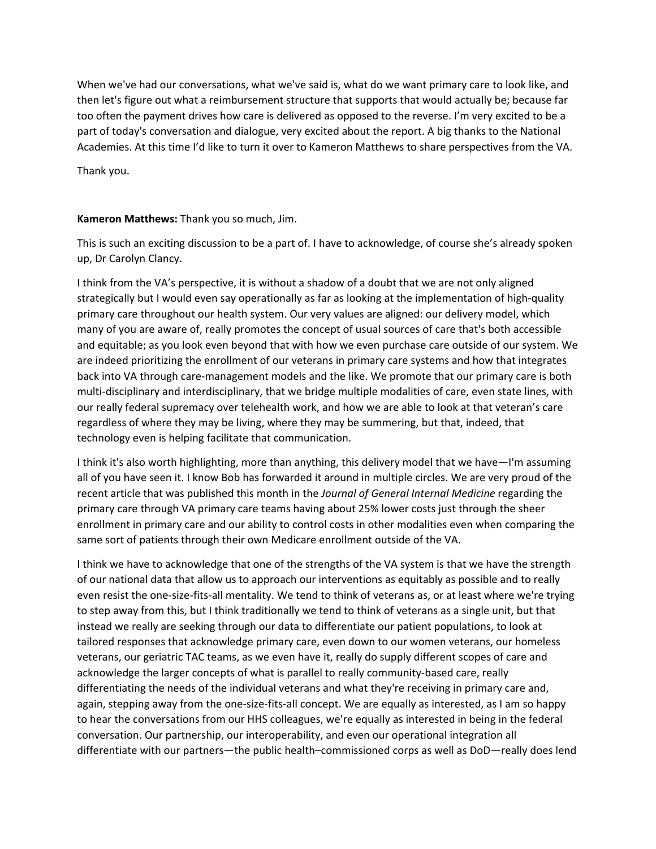When we've had our conversations, what we've said is, what do we want primary care to look like, and then let's figure out what a reimbursement structure that supports that would actually be; because far too often the payment drives how care is delivered as opposed to the reverse. I'm very excited to be a part of today's conversation and dialogue, very excited about the report. A big thanks to the National Academies. At this time I'd like to turn it over to Kameron Matthews to share perspectives from the VA.

Thank you.

## **Kameron Matthews:** Thank you so much, Jim.

This is such an exciting discussion to be a part of. I have to acknowledge, of course she's already spoken up, Dr Carolyn Clancy.

I think from the VA's perspective, it is without a shadow of a doubt that we are not only aligned strategically but I would even say operationally as far as looking at the implementation of high‐quality primary care throughout our health system. Our very values are aligned: our delivery model, which many of you are aware of, really promotes the concept of usual sources of care that's both accessible and equitable; as you look even beyond that with how we even purchase care outside of our system. We are indeed prioritizing the enrollment of our veterans in primary care systems and how that integrates back into VA through care‐management models and the like. We promote that our primary care is both multi-disciplinary and interdisciplinary, that we bridge multiple modalities of care, even state lines, with our really federal supremacy over telehealth work, and how we are able to look at that veteran's care regardless of where they may be living, where they may be summering, but that, indeed, that technology even is helping facilitate that communication.

I think it's also worth highlighting, more than anything, this delivery model that we have—I'm assuming all of you have seen it. I know Bob has forwarded it around in multiple circles. We are very proud of the recent article that was published this month in the *Journal of General Internal Medicine* regarding the primary care through VA primary care teams having about 25% lower costs just through the sheer enrollment in primary care and our ability to control costs in other modalities even when comparing the same sort of patients through their own Medicare enrollment outside of the VA.

I think we have to acknowledge that one of the strengths of the VA system is that we have the strength of our national data that allow us to approach our interventions as equitably as possible and to really even resist the one-size-fits-all mentality. We tend to think of veterans as, or at least where we're trying to step away from this, but I think traditionally we tend to think of veterans as a single unit, but that instead we really are seeking through our data to differentiate our patient populations, to look at tailored responses that acknowledge primary care, even down to our women veterans, our homeless veterans, our geriatric TAC teams, as we even have it, really do supply different scopes of care and acknowledge the larger concepts of what is parallel to really community-based care, really differentiating the needs of the individual veterans and what they're receiving in primary care and, again, stepping away from the one‐size‐fits‐all concept. We are equally as interested, as I am so happy to hear the conversations from our HHS colleagues, we're equally as interested in being in the federal conversation. Our partnership, our interoperability, and even our operational integration all differentiate with our partners—the public health–commissioned corps as well as DoD—really does lend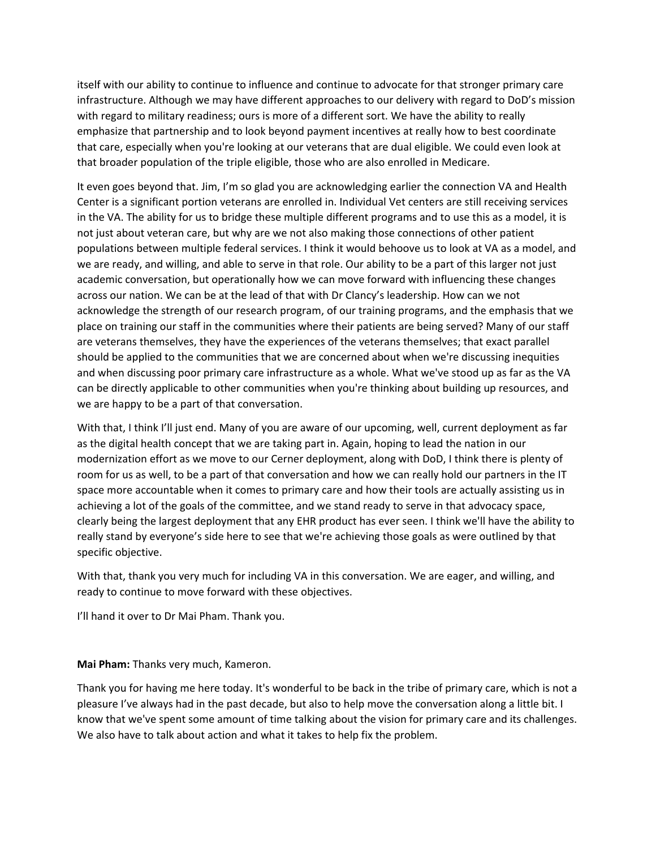itself with our ability to continue to influence and continue to advocate for that stronger primary care infrastructure. Although we may have different approaches to our delivery with regard to DoD's mission with regard to military readiness; ours is more of a different sort. We have the ability to really emphasize that partnership and to look beyond payment incentives at really how to best coordinate that care, especially when you're looking at our veterans that are dual eligible. We could even look at that broader population of the triple eligible, those who are also enrolled in Medicare.

It even goes beyond that. Jim, I'm so glad you are acknowledging earlier the connection VA and Health Center is a significant portion veterans are enrolled in. Individual Vet centers are still receiving services in the VA. The ability for us to bridge these multiple different programs and to use this as a model, it is not just about veteran care, but why are we not also making those connections of other patient populations between multiple federal services. I think it would behoove us to look at VA as a model, and we are ready, and willing, and able to serve in that role. Our ability to be a part of this larger not just academic conversation, but operationally how we can move forward with influencing these changes across our nation. We can be at the lead of that with Dr Clancy's leadership. How can we not acknowledge the strength of our research program, of our training programs, and the emphasis that we place on training our staff in the communities where their patients are being served? Many of our staff are veterans themselves, they have the experiences of the veterans themselves; that exact parallel should be applied to the communities that we are concerned about when we're discussing inequities and when discussing poor primary care infrastructure as a whole. What we've stood up as far as the VA can be directly applicable to other communities when you're thinking about building up resources, and we are happy to be a part of that conversation.

With that, I think I'll just end. Many of you are aware of our upcoming, well, current deployment as far as the digital health concept that we are taking part in. Again, hoping to lead the nation in our modernization effort as we move to our Cerner deployment, along with DoD, I think there is plenty of room for us as well, to be a part of that conversation and how we can really hold our partners in the IT space more accountable when it comes to primary care and how their tools are actually assisting us in achieving a lot of the goals of the committee, and we stand ready to serve in that advocacy space, clearly being the largest deployment that any EHR product has ever seen. I think we'll have the ability to really stand by everyone's side here to see that we're achieving those goals as were outlined by that specific objective.

With that, thank you very much for including VA in this conversation. We are eager, and willing, and ready to continue to move forward with these objectives.

I'll hand it over to Dr Mai Pham. Thank you.

**Mai Pham:** Thanks very much, Kameron.

Thank you for having me here today. It's wonderful to be back in the tribe of primary care, which is not a pleasure I've always had in the past decade, but also to help move the conversation along a little bit. I know that we've spent some amount of time talking about the vision for primary care and its challenges. We also have to talk about action and what it takes to help fix the problem.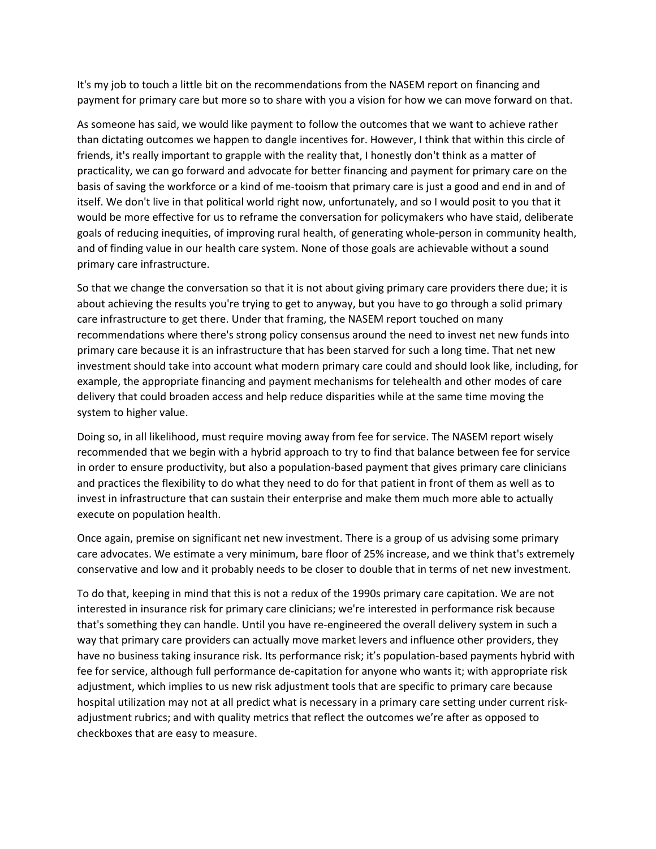It's my job to touch a little bit on the recommendations from the NASEM report on financing and payment for primary care but more so to share with you a vision for how we can move forward on that.

As someone has said, we would like payment to follow the outcomes that we want to achieve rather than dictating outcomes we happen to dangle incentives for. However, I think that within this circle of friends, it's really important to grapple with the reality that, I honestly don't think as a matter of practicality, we can go forward and advocate for better financing and payment for primary care on the basis of saving the workforce or a kind of me‐tooism that primary care is just a good and end in and of itself. We don't live in that political world right now, unfortunately, and so I would posit to you that it would be more effective for us to reframe the conversation for policymakers who have staid, deliberate goals of reducing inequities, of improving rural health, of generating whole-person in community health, and of finding value in our health care system. None of those goals are achievable without a sound primary care infrastructure.

So that we change the conversation so that it is not about giving primary care providers there due; it is about achieving the results you're trying to get to anyway, but you have to go through a solid primary care infrastructure to get there. Under that framing, the NASEM report touched on many recommendations where there's strong policy consensus around the need to invest net new funds into primary care because it is an infrastructure that has been starved for such a long time. That net new investment should take into account what modern primary care could and should look like, including, for example, the appropriate financing and payment mechanisms for telehealth and other modes of care delivery that could broaden access and help reduce disparities while at the same time moving the system to higher value.

Doing so, in all likelihood, must require moving away from fee for service. The NASEM report wisely recommended that we begin with a hybrid approach to try to find that balance between fee for service in order to ensure productivity, but also a population‐based payment that gives primary care clinicians and practices the flexibility to do what they need to do for that patient in front of them as well as to invest in infrastructure that can sustain their enterprise and make them much more able to actually execute on population health.

Once again, premise on significant net new investment. There is a group of us advising some primary care advocates. We estimate a very minimum, bare floor of 25% increase, and we think that's extremely conservative and low and it probably needs to be closer to double that in terms of net new investment.

To do that, keeping in mind that this is not a redux of the 1990s primary care capitation. We are not interested in insurance risk for primary care clinicians; we're interested in performance risk because that's something they can handle. Until you have re‐engineered the overall delivery system in such a way that primary care providers can actually move market levers and influence other providers, they have no business taking insurance risk. Its performance risk; it's population-based payments hybrid with fee for service, although full performance de-capitation for anyone who wants it; with appropriate risk adjustment, which implies to us new risk adjustment tools that are specific to primary care because hospital utilization may not at all predict what is necessary in a primary care setting under current riskadjustment rubrics; and with quality metrics that reflect the outcomes we're after as opposed to checkboxes that are easy to measure.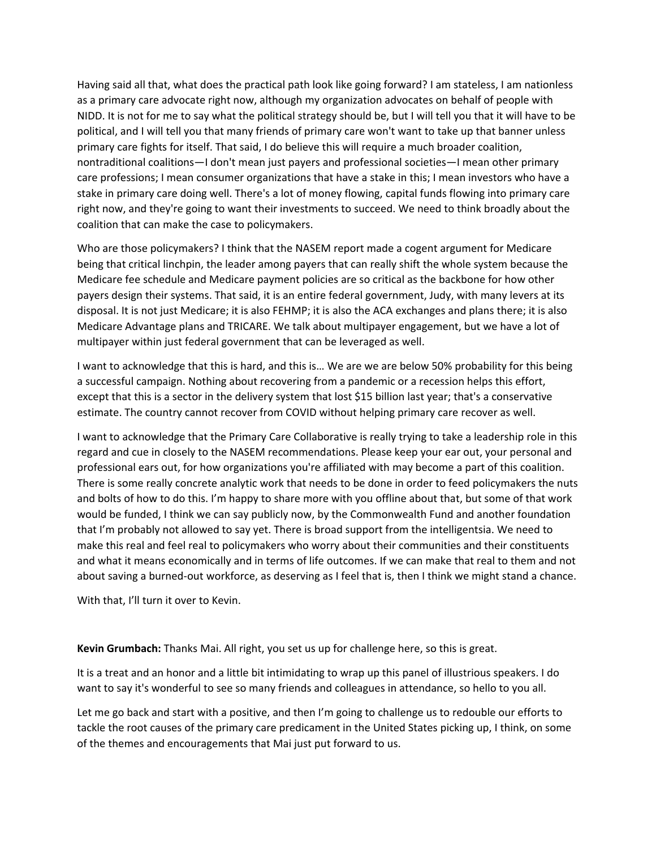Having said all that, what does the practical path look like going forward? I am stateless, I am nationless as a primary care advocate right now, although my organization advocates on behalf of people with NIDD. It is not for me to say what the political strategy should be, but I will tell you that it will have to be political, and I will tell you that many friends of primary care won't want to take up that banner unless primary care fights for itself. That said, I do believe this will require a much broader coalition, nontraditional coalitions—I don't mean just payers and professional societies—I mean other primary care professions; I mean consumer organizations that have a stake in this; I mean investors who have a stake in primary care doing well. There's a lot of money flowing, capital funds flowing into primary care right now, and they're going to want their investments to succeed. We need to think broadly about the coalition that can make the case to policymakers.

Who are those policymakers? I think that the NASEM report made a cogent argument for Medicare being that critical linchpin, the leader among payers that can really shift the whole system because the Medicare fee schedule and Medicare payment policies are so critical as the backbone for how other payers design their systems. That said, it is an entire federal government, Judy, with many levers at its disposal. It is not just Medicare; it is also FEHMP; it is also the ACA exchanges and plans there; it is also Medicare Advantage plans and TRICARE. We talk about multipayer engagement, but we have a lot of multipayer within just federal government that can be leveraged as well.

I want to acknowledge that this is hard, and this is… We are we are below 50% probability for this being a successful campaign. Nothing about recovering from a pandemic or a recession helps this effort, except that this is a sector in the delivery system that lost \$15 billion last year; that's a conservative estimate. The country cannot recover from COVID without helping primary care recover as well.

I want to acknowledge that the Primary Care Collaborative is really trying to take a leadership role in this regard and cue in closely to the NASEM recommendations. Please keep your ear out, your personal and professional ears out, for how organizations you're affiliated with may become a part of this coalition. There is some really concrete analytic work that needs to be done in order to feed policymakers the nuts and bolts of how to do this. I'm happy to share more with you offline about that, but some of that work would be funded, I think we can say publicly now, by the Commonwealth Fund and another foundation that I'm probably not allowed to say yet. There is broad support from the intelligentsia. We need to make this real and feel real to policymakers who worry about their communities and their constituents and what it means economically and in terms of life outcomes. If we can make that real to them and not about saving a burned‐out workforce, as deserving as I feel that is, then I think we might stand a chance.

With that, I'll turn it over to Kevin.

## **Kevin Grumbach:** Thanks Mai. All right, you set us up for challenge here, so this is great.

It is a treat and an honor and a little bit intimidating to wrap up this panel of illustrious speakers. I do want to say it's wonderful to see so many friends and colleagues in attendance, so hello to you all.

Let me go back and start with a positive, and then I'm going to challenge us to redouble our efforts to tackle the root causes of the primary care predicament in the United States picking up, I think, on some of the themes and encouragements that Mai just put forward to us.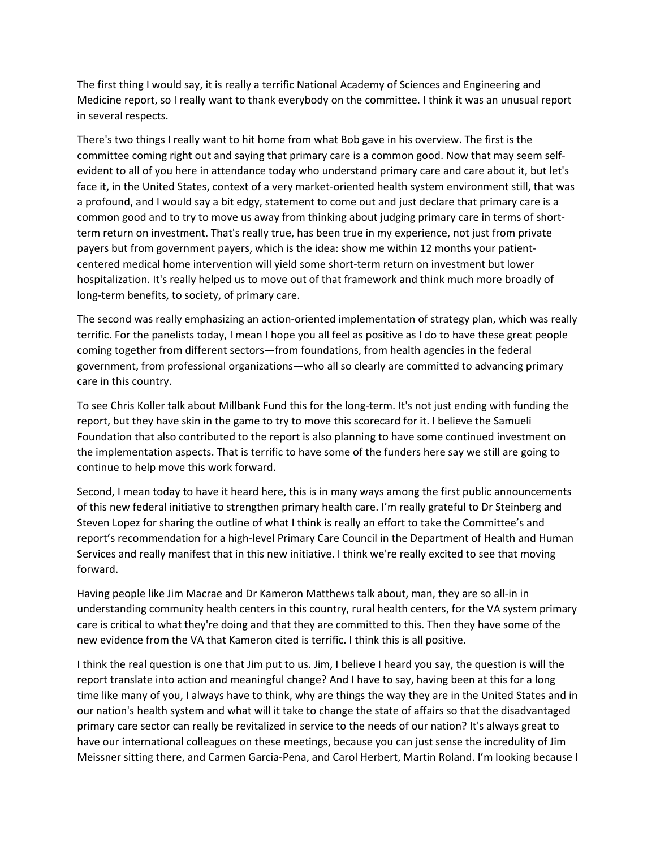The first thing I would say, it is really a terrific National Academy of Sciences and Engineering and Medicine report, so I really want to thank everybody on the committee. I think it was an unusual report in several respects.

There's two things I really want to hit home from what Bob gave in his overview. The first is the committee coming right out and saying that primary care is a common good. Now that may seem self‐ evident to all of you here in attendance today who understand primary care and care about it, but let's face it, in the United States, context of a very market‐oriented health system environment still, that was a profound, and I would say a bit edgy, statement to come out and just declare that primary care is a common good and to try to move us away from thinking about judging primary care in terms of shortterm return on investment. That's really true, has been true in my experience, not just from private payers but from government payers, which is the idea: show me within 12 months your patient‐ centered medical home intervention will yield some short-term return on investment but lower hospitalization. It's really helped us to move out of that framework and think much more broadly of long‐term benefits, to society, of primary care.

The second was really emphasizing an action‐oriented implementation of strategy plan, which was really terrific. For the panelists today, I mean I hope you all feel as positive as I do to have these great people coming together from different sectors—from foundations, from health agencies in the federal government, from professional organizations—who all so clearly are committed to advancing primary care in this country.

To see Chris Koller talk about Millbank Fund this for the long‐term. It's not just ending with funding the report, but they have skin in the game to try to move this scorecard for it. I believe the Samueli Foundation that also contributed to the report is also planning to have some continued investment on the implementation aspects. That is terrific to have some of the funders here say we still are going to continue to help move this work forward.

Second, I mean today to have it heard here, this is in many ways among the first public announcements of this new federal initiative to strengthen primary health care. I'm really grateful to Dr Steinberg and Steven Lopez for sharing the outline of what I think is really an effort to take the Committee's and report's recommendation for a high-level Primary Care Council in the Department of Health and Human Services and really manifest that in this new initiative. I think we're really excited to see that moving forward.

Having people like Jim Macrae and Dr Kameron Matthews talk about, man, they are so all‐in in understanding community health centers in this country, rural health centers, for the VA system primary care is critical to what they're doing and that they are committed to this. Then they have some of the new evidence from the VA that Kameron cited is terrific. I think this is all positive.

I think the real question is one that Jim put to us. Jim, I believe I heard you say, the question is will the report translate into action and meaningful change? And I have to say, having been at this for a long time like many of you, I always have to think, why are things the way they are in the United States and in our nation's health system and what will it take to change the state of affairs so that the disadvantaged primary care sector can really be revitalized in service to the needs of our nation? It's always great to have our international colleagues on these meetings, because you can just sense the incredulity of Jim Meissner sitting there, and Carmen Garcia‐Pena, and Carol Herbert, Martin Roland. I'm looking because I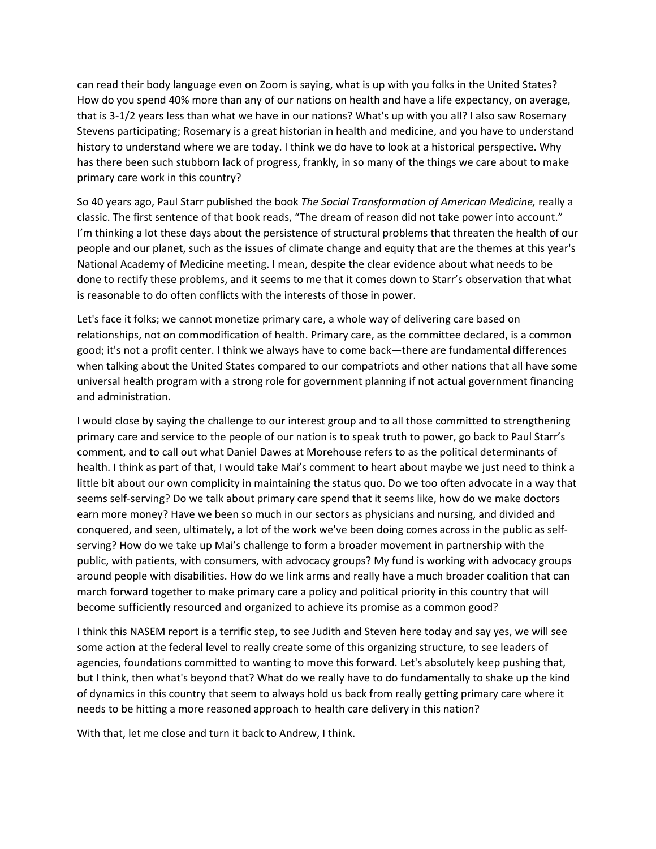can read their body language even on Zoom is saying, what is up with you folks in the United States? How do you spend 40% more than any of our nations on health and have a life expectancy, on average, that is 3‐1/2 years less than what we have in our nations? What's up with you all? I also saw Rosemary Stevens participating; Rosemary is a great historian in health and medicine, and you have to understand history to understand where we are today. I think we do have to look at a historical perspective. Why has there been such stubborn lack of progress, frankly, in so many of the things we care about to make primary care work in this country?

So 40 years ago, Paul Starr published the book *The Social Transformation of American Medicine,* really a classic. The first sentence of that book reads, "The dream of reason did not take power into account." I'm thinking a lot these days about the persistence of structural problems that threaten the health of our people and our planet, such as the issues of climate change and equity that are the themes at this year's National Academy of Medicine meeting. I mean, despite the clear evidence about what needs to be done to rectify these problems, and it seems to me that it comes down to Starr's observation that what is reasonable to do often conflicts with the interests of those in power.

Let's face it folks; we cannot monetize primary care, a whole way of delivering care based on relationships, not on commodification of health. Primary care, as the committee declared, is a common good; it's not a profit center. I think we always have to come back—there are fundamental differences when talking about the United States compared to our compatriots and other nations that all have some universal health program with a strong role for government planning if not actual government financing and administration.

I would close by saying the challenge to our interest group and to all those committed to strengthening primary care and service to the people of our nation is to speak truth to power, go back to Paul Starr's comment, and to call out what Daniel Dawes at Morehouse refers to as the political determinants of health. I think as part of that, I would take Mai's comment to heart about maybe we just need to think a little bit about our own complicity in maintaining the status quo. Do we too often advocate in a way that seems self‐serving? Do we talk about primary care spend that it seems like, how do we make doctors earn more money? Have we been so much in our sectors as physicians and nursing, and divided and conquered, and seen, ultimately, a lot of the work we've been doing comes across in the public as self‐ serving? How do we take up Mai's challenge to form a broader movement in partnership with the public, with patients, with consumers, with advocacy groups? My fund is working with advocacy groups around people with disabilities. How do we link arms and really have a much broader coalition that can march forward together to make primary care a policy and political priority in this country that will become sufficiently resourced and organized to achieve its promise as a common good?

I think this NASEM report is a terrific step, to see Judith and Steven here today and say yes, we will see some action at the federal level to really create some of this organizing structure, to see leaders of agencies, foundations committed to wanting to move this forward. Let's absolutely keep pushing that, but I think, then what's beyond that? What do we really have to do fundamentally to shake up the kind of dynamics in this country that seem to always hold us back from really getting primary care where it needs to be hitting a more reasoned approach to health care delivery in this nation?

With that, let me close and turn it back to Andrew, I think.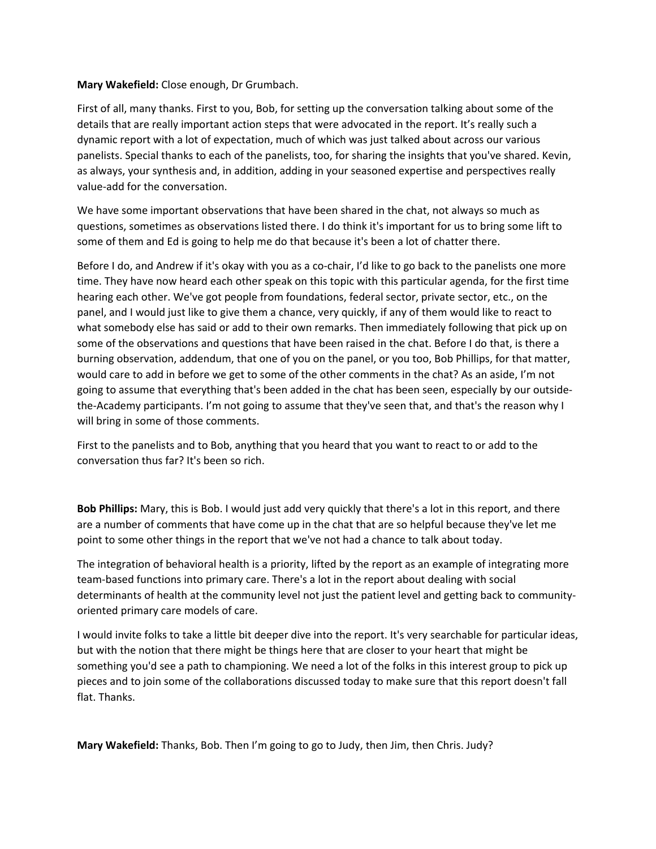## **Mary Wakefield:** Close enough, Dr Grumbach.

First of all, many thanks. First to you, Bob, for setting up the conversation talking about some of the details that are really important action steps that were advocated in the report. It's really such a dynamic report with a lot of expectation, much of which was just talked about across our various panelists. Special thanks to each of the panelists, too, for sharing the insights that you've shared. Kevin, as always, your synthesis and, in addition, adding in your seasoned expertise and perspectives really value‐add for the conversation.

We have some important observations that have been shared in the chat, not always so much as questions, sometimes as observations listed there. I do think it's important for us to bring some lift to some of them and Ed is going to help me do that because it's been a lot of chatter there.

Before I do, and Andrew if it's okay with you as a co-chair, I'd like to go back to the panelists one more time. They have now heard each other speak on this topic with this particular agenda, for the first time hearing each other. We've got people from foundations, federal sector, private sector, etc., on the panel, and I would just like to give them a chance, very quickly, if any of them would like to react to what somebody else has said or add to their own remarks. Then immediately following that pick up on some of the observations and questions that have been raised in the chat. Before I do that, is there a burning observation, addendum, that one of you on the panel, or you too, Bob Phillips, for that matter, would care to add in before we get to some of the other comments in the chat? As an aside, I'm not going to assume that everything that's been added in the chat has been seen, especially by our outside‐ the-Academy participants. I'm not going to assume that they've seen that, and that's the reason why I will bring in some of those comments.

First to the panelists and to Bob, anything that you heard that you want to react to or add to the conversation thus far? It's been so rich.

**Bob Phillips:** Mary, this is Bob. I would just add very quickly that there's a lot in this report, and there are a number of comments that have come up in the chat that are so helpful because they've let me point to some other things in the report that we've not had a chance to talk about today.

The integration of behavioral health is a priority, lifted by the report as an example of integrating more team‐based functions into primary care. There's a lot in the report about dealing with social determinants of health at the community level not just the patient level and getting back to community‐ oriented primary care models of care.

I would invite folks to take a little bit deeper dive into the report. It's very searchable for particular ideas, but with the notion that there might be things here that are closer to your heart that might be something you'd see a path to championing. We need a lot of the folks in this interest group to pick up pieces and to join some of the collaborations discussed today to make sure that this report doesn't fall flat. Thanks.

**Mary Wakefield:** Thanks, Bob. Then I'm going to go to Judy, then Jim, then Chris. Judy?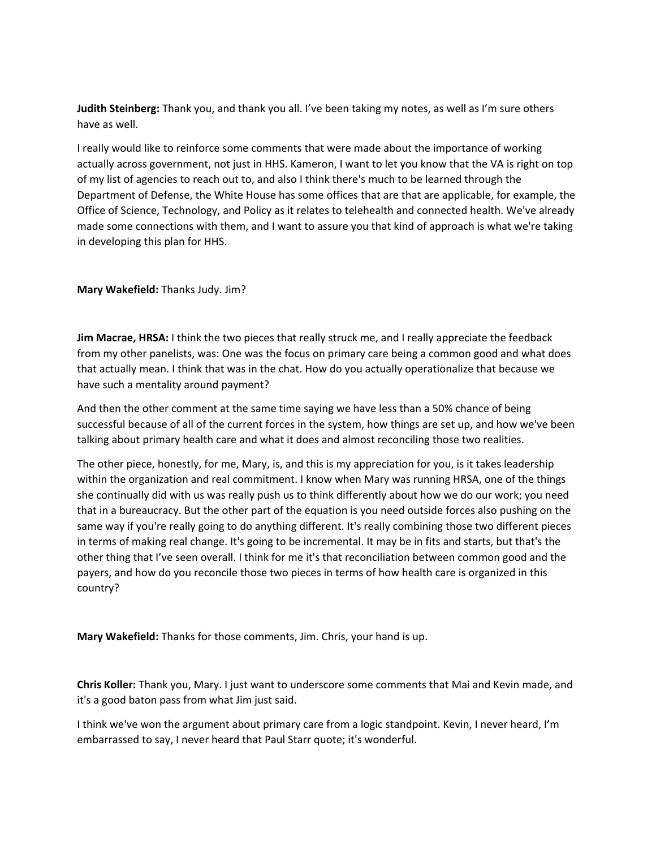**Judith Steinberg:** Thank you, and thank you all. I've been taking my notes, as well as I'm sure others have as well.

I really would like to reinforce some comments that were made about the importance of working actually across government, not just in HHS. Kameron, I want to let you know that the VA is right on top of my list of agencies to reach out to, and also I think there's much to be learned through the Department of Defense, the White House has some offices that are that are applicable, for example, the Office of Science, Technology, and Policy as it relates to telehealth and connected health. We've already made some connections with them, and I want to assure you that kind of approach is what we're taking in developing this plan for HHS.

## **Mary Wakefield:** Thanks Judy. Jim?

**Jim Macrae, HRSA:** I think the two pieces that really struck me, and I really appreciate the feedback from my other panelists, was: One was the focus on primary care being a common good and what does that actually mean. I think that was in the chat. How do you actually operationalize that because we have such a mentality around payment?

And then the other comment at the same time saying we have less than a 50% chance of being successful because of all of the current forces in the system, how things are set up, and how we've been talking about primary health care and what it does and almost reconciling those two realities.

The other piece, honestly, for me, Mary, is, and this is my appreciation for you, is it takes leadership within the organization and real commitment. I know when Mary was running HRSA, one of the things she continually did with us was really push us to think differently about how we do our work; you need that in a bureaucracy. But the other part of the equation is you need outside forces also pushing on the same way if you're really going to do anything different. It's really combining those two different pieces in terms of making real change. It's going to be incremental. It may be in fits and starts, but that's the other thing that I've seen overall. I think for me it's that reconciliation between common good and the payers, and how do you reconcile those two pieces in terms of how health care is organized in this country?

**Mary Wakefield:** Thanks for those comments, Jim. Chris, your hand is up.

**Chris Koller:** Thank you, Mary. I just want to underscore some comments that Mai and Kevin made, and it's a good baton pass from what Jim just said.

I think we've won the argument about primary care from a logic standpoint. Kevin, I never heard, I'm embarrassed to say, I never heard that Paul Starr quote; it's wonderful.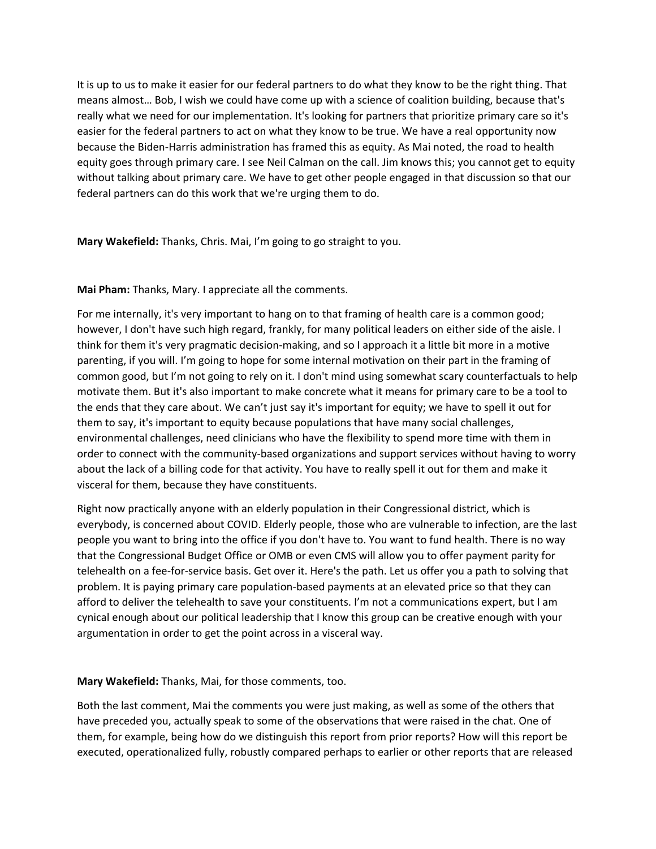It is up to us to make it easier for our federal partners to do what they know to be the right thing. That means almost… Bob, I wish we could have come up with a science of coalition building, because that's really what we need for our implementation. It's looking for partners that prioritize primary care so it's easier for the federal partners to act on what they know to be true. We have a real opportunity now because the Biden‐Harris administration has framed this as equity. As Mai noted, the road to health equity goes through primary care. I see Neil Calman on the call. Jim knows this; you cannot get to equity without talking about primary care. We have to get other people engaged in that discussion so that our federal partners can do this work that we're urging them to do.

**Mary Wakefield:** Thanks, Chris. Mai, I'm going to go straight to you.

**Mai Pham:** Thanks, Mary. I appreciate all the comments.

For me internally, it's very important to hang on to that framing of health care is a common good; however, I don't have such high regard, frankly, for many political leaders on either side of the aisle. I think for them it's very pragmatic decision‐making, and so I approach it a little bit more in a motive parenting, if you will. I'm going to hope for some internal motivation on their part in the framing of common good, but I'm not going to rely on it. I don't mind using somewhat scary counterfactuals to help motivate them. But it's also important to make concrete what it means for primary care to be a tool to the ends that they care about. We can't just say it's important for equity; we have to spell it out for them to say, it's important to equity because populations that have many social challenges, environmental challenges, need clinicians who have the flexibility to spend more time with them in order to connect with the community‐based organizations and support services without having to worry about the lack of a billing code for that activity. You have to really spell it out for them and make it visceral for them, because they have constituents.

Right now practically anyone with an elderly population in their Congressional district, which is everybody, is concerned about COVID. Elderly people, those who are vulnerable to infection, are the last people you want to bring into the office if you don't have to. You want to fund health. There is no way that the Congressional Budget Office or OMB or even CMS will allow you to offer payment parity for telehealth on a fee‐for‐service basis. Get over it. Here's the path. Let us offer you a path to solving that problem. It is paying primary care population‐based payments at an elevated price so that they can afford to deliver the telehealth to save your constituents. I'm not a communications expert, but I am cynical enough about our political leadership that I know this group can be creative enough with your argumentation in order to get the point across in a visceral way.

**Mary Wakefield:** Thanks, Mai, for those comments, too.

Both the last comment, Mai the comments you were just making, as well as some of the others that have preceded you, actually speak to some of the observations that were raised in the chat. One of them, for example, being how do we distinguish this report from prior reports? How will this report be executed, operationalized fully, robustly compared perhaps to earlier or other reports that are released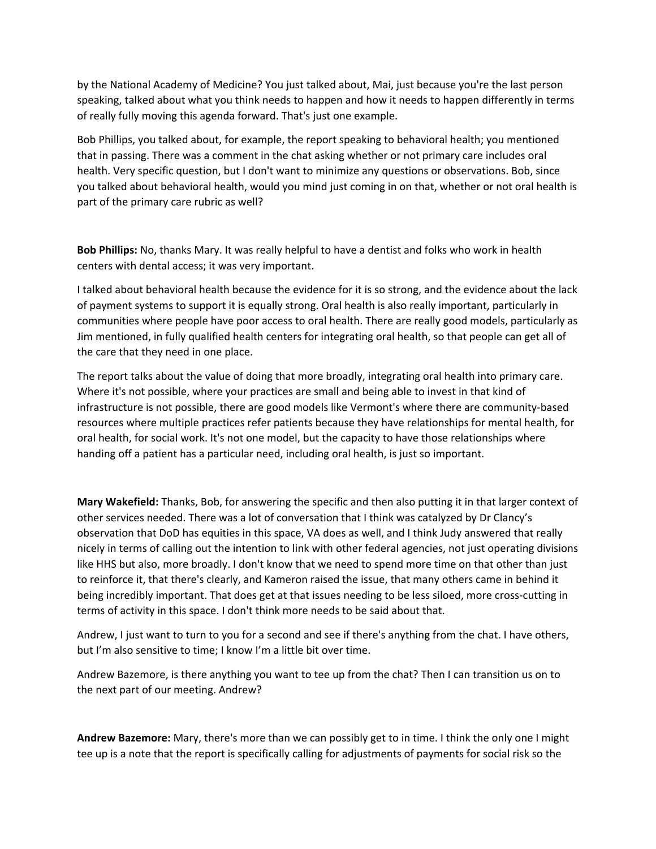by the National Academy of Medicine? You just talked about, Mai, just because you're the last person speaking, talked about what you think needs to happen and how it needs to happen differently in terms of really fully moving this agenda forward. That's just one example.

Bob Phillips, you talked about, for example, the report speaking to behavioral health; you mentioned that in passing. There was a comment in the chat asking whether or not primary care includes oral health. Very specific question, but I don't want to minimize any questions or observations. Bob, since you talked about behavioral health, would you mind just coming in on that, whether or not oral health is part of the primary care rubric as well?

**Bob Phillips:** No, thanks Mary. It was really helpful to have a dentist and folks who work in health centers with dental access; it was very important.

I talked about behavioral health because the evidence for it is so strong, and the evidence about the lack of payment systems to support it is equally strong. Oral health is also really important, particularly in communities where people have poor access to oral health. There are really good models, particularly as Jim mentioned, in fully qualified health centers for integrating oral health, so that people can get all of the care that they need in one place.

The report talks about the value of doing that more broadly, integrating oral health into primary care. Where it's not possible, where your practices are small and being able to invest in that kind of infrastructure is not possible, there are good models like Vermont's where there are community-based resources where multiple practices refer patients because they have relationships for mental health, for oral health, for social work. It's not one model, but the capacity to have those relationships where handing off a patient has a particular need, including oral health, is just so important.

**Mary Wakefield:** Thanks, Bob, for answering the specific and then also putting it in that larger context of other services needed. There was a lot of conversation that I think was catalyzed by Dr Clancy's observation that DoD has equities in this space, VA does as well, and I think Judy answered that really nicely in terms of calling out the intention to link with other federal agencies, not just operating divisions like HHS but also, more broadly. I don't know that we need to spend more time on that other than just to reinforce it, that there's clearly, and Kameron raised the issue, that many others came in behind it being incredibly important. That does get at that issues needing to be less siloed, more cross-cutting in terms of activity in this space. I don't think more needs to be said about that.

Andrew, I just want to turn to you for a second and see if there's anything from the chat. I have others, but I'm also sensitive to time; I know I'm a little bit over time.

Andrew Bazemore, is there anything you want to tee up from the chat? Then I can transition us on to the next part of our meeting. Andrew?

**Andrew Bazemore:** Mary, there's more than we can possibly get to in time. I think the only one I might tee up is a note that the report is specifically calling for adjustments of payments for social risk so the